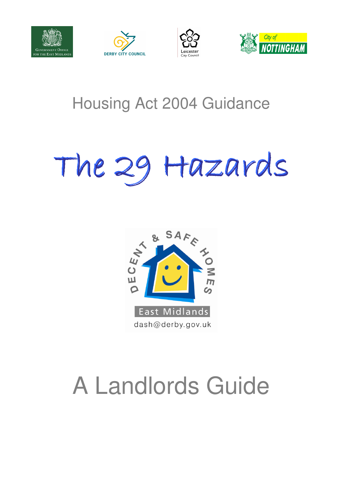







## Housing Act 2004 Guidance

# The 29 Hazards The 29 Hazards



## A Landlords Guide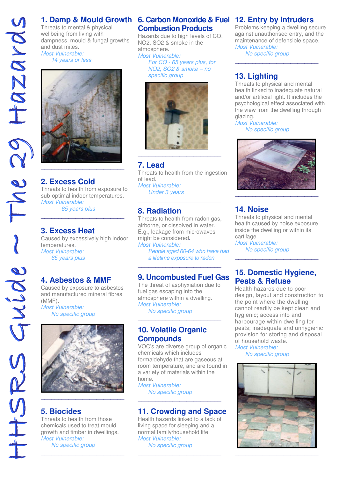Threats to mental & physical wellbeing from living with dampness, mould & fungal growths and dust mites. Most Vulnerable: 14 years or less



#### **2. Excess Cold**

Threats to health from exposure to sub-optimal indoor temperatures. Most Vulnerable: 65 years plus

\_\_\_\_\_\_\_\_\_\_\_\_\_\_\_\_\_\_\_\_\_\_\_\_

#### **3. Excess Heat**

Caused by excessively high indoor temperatures. Most Vulnerable: 65 years plus

\_\_\_\_\_\_\_\_\_\_\_\_\_\_\_\_\_\_\_\_\_\_\_\_

#### **4. Asbestos & MMF**

Caused by exposure to asbestos and manufactured mineral fibres (MMF).

Most Vulnerable: No specific group



#### **5. Biocides**

Threats to health from those chemicals used to treat mould growth and timber in dwellings. Most Vulnerable:

\_\_\_\_\_\_\_\_\_\_\_\_\_\_\_\_\_\_\_\_\_\_\_\_

No specific group

#### **1. Damp & Mould Growth 6. Carbon Monoxide & Fuel 12. Entry by Intruders Combustion Products**

Hazards due to high levels of CO, NO2, SO2 & smoke in the atmosphere. Most Vulnerable:

For CO - 65 years plus, for NO2, SO2 & smoke – no specific group



#### **7. Lead**

Threats to health from the ingestion of lead. Most Vulnerable: Under 3 years

\_\_\_\_\_\_\_\_\_\_\_\_\_\_\_\_\_\_\_\_\_\_\_\_

#### **8. Radiation**

Threats to health from radon gas, airborne, or dissolved in water. E.g., leakage from microwaves might be considered. Most Vulnerable:

People aged 60-64 who have had a lifetime exposure to radon

#### **9. Uncombusted Fuel Gas**

\_\_\_\_\_\_\_\_\_\_\_\_\_\_\_\_\_\_\_\_\_\_\_\_

The threat of asphyxiation due to fuel gas escaping into the atmosphere within a dwelling. Most Vulnerable: No specific group \_\_\_\_\_\_\_\_\_\_\_\_\_\_\_\_\_\_\_\_\_\_\_\_

#### **10. Volatile Organic Compounds**

VOC's are diverse group of organic chemicals which includes formaldehyde that are gaseous at room temperature, and are found in a variety of materials within the home.

Most Vulnerable: No specific group

#### **11. Crowding and Space**

\_\_\_\_\_\_\_\_\_\_\_\_\_\_\_\_\_\_\_\_\_\_\_\_

Health hazards linked to a lack of living space for sleeping and a normal family/household life. Most Vulnerable: No specific group

\_\_\_\_\_\_\_\_\_\_\_\_\_\_\_\_\_\_\_\_\_\_\_\_

Problems keeping a dwelling secure against unauthorised entry, and the maintenance of defensible space. Most Vulnerable:

\_\_\_\_\_\_\_\_\_\_\_\_\_\_\_\_\_\_\_\_\_\_\_\_

No specific group

### **13. Lighting**

Threats to physical and mental health linked to inadequate natural and/or artificial light. It includes the psychological effect associated with the view from the dwelling through glazing.

Most Vulnerable: No specific group



#### **14. Noise**

Threats to physical and mental health caused by noise exposure inside the dwelling or within its cartilage.

Most Vulnerable: No specific group

#### **15. Domestic Hygiene, Pests & Refuse**

\_\_\_\_\_\_\_\_\_\_\_\_\_\_\_\_\_\_\_\_\_\_\_\_

Health hazards due to poor design, layout and construction to the point where the dwelling cannot readily be kept clean and hygienic; access into and harbourage within dwelling for pests; inadequate and unhygienic provision for storing and disposal of household waste.

Most Vulnerable: No specific group

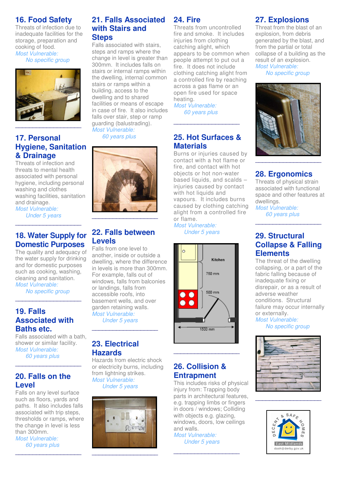#### **16. Food Safety**

Threats of infection due to inadequate facilities for the storage, preparation and cooking of food. Most Vulnerable: No specific group



#### **17. Personal Hygiene, Sanitation & Drainage**

Threats of infection and threats to mental health associated with personal hygiene, including personal washing and clothes washing facilities, sanitation and drainage.

Most Vulnerable: Under 5 years \_\_\_\_\_\_\_\_\_\_\_\_\_\_\_\_\_\_\_\_\_\_\_\_\_

#### **18. Water Supply for Domestic Purposes**

The quality and adequacy of the water supply for drinking and for domestic purposes such as cooking, washing, cleaning and sanitation. Most Vulnerable:

 No specific group \_\_\_\_\_\_\_\_\_\_\_\_\_\_\_\_\_\_\_

#### **19. Falls Associated with Baths etc.**

Falls associated with a bath, shower or similar facility. Most Vulnerable: 60 years plus

\_\_\_\_\_\_\_\_\_\_\_\_\_\_\_\_\_\_\_\_\_\_\_\_\_

#### **20. Falls on the Level**

Falls on any level surface such as floors, yards and paths. It also includes falls associated with trip steps, thresholds or ramps, where the change in level is less than 300mm. Most Vulnerable:

 60 years plus \_\_\_\_\_\_\_\_\_\_\_\_\_\_\_\_\_\_\_\_\_\_\_\_\_

#### **21. Falls Associated with Stairs and Steps**

Falls associated with stairs, steps and ramps where the change in level is greater than 300mm. It includes falls on stairs or internal ramps within the dwelling, internal common stairs or ramps within a building, access to the dwelling and to shared facilities or means of escape in case of fire. It also includes falls over stair, step or ramp guarding (balustrading). Most Vulnerable:

60 years plus



#### **22. Falls between Levels**

Falls from one level to another, inside or outside a dwelling, where the difference in levels is more than 300mm. For example, falls out of windows, falls from balconies or landings, falls from accessible roofs, into basement wells, and over garden retaining walls. Most Vulnerable:

 Under 5 years \_\_\_\_\_\_\_\_\_\_\_\_\_\_\_\_\_\_\_

#### **23. Electrical Hazards**

Hazards from electric shock or electricity burns, including from lightning strikes. Most Vulnerable:

Under 5 years



#### **24. Fire**

Threats from uncontrolled fire and smoke. It includes injuries from clothing catching alight, which appears to be common when people attempt to put out a fire. It does not include clothing catching alight from a controlled fire by reaching across a gas flame or an open fire used for space heating. Most Vulnerable:

60 years plus

#### **25. Hot Surfaces & Materials**

\_\_\_\_\_\_\_\_\_\_\_\_\_\_\_\_\_\_\_

Burns or injuries caused by contact with a hot flame or fire, and contact with hot objects or hot non-water based liquids, and scalds – injuries caused by contact with hot liquids and vapours. It includes burns caused by clothing catching alight from a controlled fire or flame.

Most Vulnerable: Under 5 years



#### **26. Collision & Entrapment**

\_\_\_\_\_\_\_\_\_\_\_\_\_\_\_\_\_\_\_

This includes risks of physical injury from: Trapping body parts in architectural features, e.g. trapping limbs or fingers in doors / windows; Colliding with objects e.g. glazing, windows, doors, low ceilings and walls. Most Vulnerable:

Under 5 years

\_\_\_\_\_\_\_\_\_\_\_\_\_\_\_\_\_\_\_

#### **27. Explosions**

Threat from the blast of an explosion, from debris generated by the blast, and from the partial or total collapse of a building as the result of an explosion. Most Vulnerable:

No specific group



### **28. Ergonomics**

Threats of physical strain associated with functional space and other features at dwellings.

Most Vulnerable: 60 years plus

#### **29. Structural Collapse & Falling Elements**

\_\_\_\_\_\_\_\_\_\_\_\_\_\_\_\_\_\_\_

The threat of the dwelling collapsing, or a part of the fabric falling because of inadequate fixing or disrepair, or as a result of adverse weather conditions. Structural failure may occur internally or externally.

Most Vulnerable: No specific group



\_\_\_\_\_\_\_\_\_\_\_\_\_\_\_\_\_\_\_